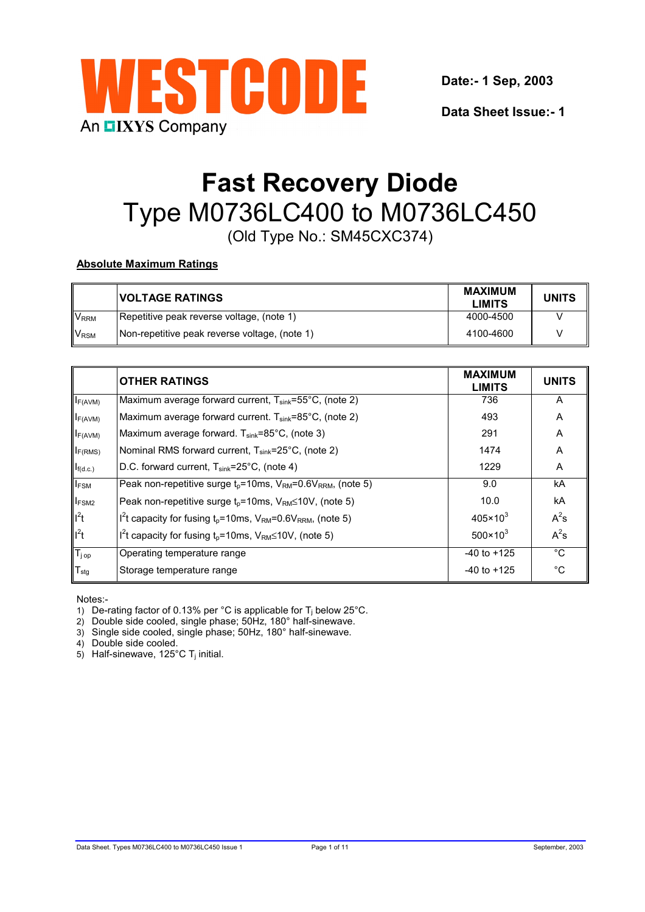

**Date:- 1 Sep, 2003**

**Data Sheet Issue:- 1**

# **Fast Recovery Diode** Type M0736LC400 to M0736LC450 (Old Type No.: SM45CXC374)

# **Absolute Maximum Ratings**

|                        | <b>VOLTAGE RATINGS</b>                        | <b>MAXIMUM</b><br><b>LIMITS</b> | <b>UNITS</b> |
|------------------------|-----------------------------------------------|---------------------------------|--------------|
| <b>V<sub>RRM</sub></b> | Repetitive peak reverse voltage, (note 1)     | 4000-4500                       |              |
| <b>V<sub>RSM</sub></b> | Non-repetitive peak reverse voltage, (note 1) | 4100-4600                       |              |

|                    | <b>OTHER RATINGS</b>                                                                                | <b>MAXIMUM</b><br><b>LIMITS</b> | <b>UNITS</b> |
|--------------------|-----------------------------------------------------------------------------------------------------|---------------------------------|--------------|
| $I_{F(AVM)}$       | Maximum average forward current, T <sub>sink</sub> =55°C, (note 2)                                  | 736                             | A            |
| $I_{F(AVM)}$       | Maximum average forward current. $T_{sink} = 85^{\circ}$ C, (note 2)                                | 493                             | A            |
| $I_{F(AVM)}$       | Maximum average forward. $T_{sink} = 85^{\circ}C$ , (note 3)                                        | 291                             | Α            |
| $I_{F(RMS)}$       | Nominal RMS forward current, T <sub>sink</sub> =25°C, (note 2)                                      | 1474                            | A            |
| $I_{f(d.c.)}$      | D.C. forward current, T <sub>sink</sub> =25°C, (note 4)                                             | 1229                            | A            |
| $I_{FSM}$          | Peak non-repetitive surge $t_p = 10$ ms, V <sub>RM</sub> =0.6V <sub>RRM</sub> , (note 5)            | 9.0                             | kA           |
| <b>FSM2</b>        | Peak non-repetitive surge $t_p = 10$ ms, V <sub>RM</sub> ≤10V, (note 5)                             | 10.0                            | kA           |
| $I^2t$             | $I^{2}$ t capacity for fusing t <sub>0</sub> =10ms, V <sub>RM</sub> =0.6V <sub>RRM</sub> , (note 5) | $405 \times 10^3$               | $A^2s$       |
| $I^2t$             | $I2t$ capacity for fusing t <sub>p</sub> =10ms, V <sub>RM</sub> ≤10V, (note 5)                      | $500 \times 10^{3}$             | $A^2s$       |
| $T_{j \text{ op}}$ | Operating temperature range                                                                         | $-40$ to $+125$                 | $^{\circ}C$  |
| $T_{\text{stg}}$   | Storage temperature range                                                                           | $-40$ to $+125$                 | $^{\circ}C$  |

Notes:-

1) De-rating factor of 0.13% per °C is applicable for  $T_i$  below 25°C.

2) Double side cooled, single phase; 50Hz, 180° half-sinewave.

3) Single side cooled, single phase; 50Hz, 180° half-sinewave.

4) Double side cooled.

5) Half-sinewave, 125 $\degree$ C T<sub>i</sub> initial.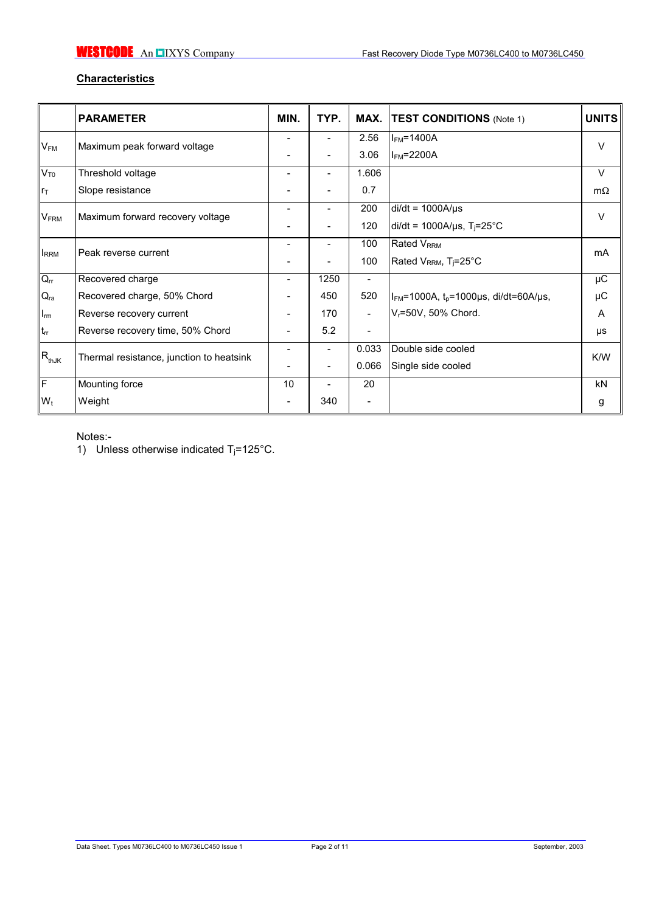# **Characteristics**

|                                               | <b>PARAMETER</b>                         | MIN. | TYP.           |                          | <b>MAX. TEST CONDITIONS</b> (Note 1)                    | <b>UNITS</b> |
|-----------------------------------------------|------------------------------------------|------|----------------|--------------------------|---------------------------------------------------------|--------------|
|                                               | $V_{FM}$<br>Maximum peak forward voltage |      | $\overline{a}$ | 2.56                     | $IFM=1400A$                                             | V            |
|                                               |                                          |      |                | 3.06                     | $IFM=2200A$                                             |              |
| $V_{T0}$                                      | Threshold voltage                        |      | ۳              | 1.606                    |                                                         | $\vee$       |
| $r_{\text{T}}$                                | Slope resistance                         |      |                | 0.7                      |                                                         | $m\Omega$    |
| <b>VFRM</b>                                   | Maximum forward recovery voltage         |      | ۰              | 200                      | $di/dt = 1000A/\mu s$                                   | $\vee$       |
|                                               |                                          |      |                | 120                      | di/dt = 1000A/ $\mu$ s, T <sub>j</sub> =25°C            |              |
|                                               |                                          |      |                | 100                      | <b>Rated V<sub>RRM</sub></b>                            | mA           |
| <b>IRRM</b>                                   | Peak reverse current                     |      |                | 100                      | Rated V <sub>RRM</sub> , T <sub>j</sub> =25°C           |              |
| $Q_{rr}$                                      | Recovered charge                         | -    | 1250           | $\overline{\phantom{a}}$ |                                                         | μC           |
| $Q_{ra}$                                      | Recovered charge, 50% Chord              |      | 450            | 520                      | $ I_{FM}$ =1000A, t <sub>p</sub> =1000µs, di/dt=60A/µs, | μC           |
| $\mathsf{I}_{\mathsf{rm}}$                    | Reverse recovery current                 |      | 170            | $\blacksquare$           | $V_r = 50V$ , 50% Chord.                                | A            |
| $t_{rr}$                                      | Reverse recovery time, 50% Chord         |      | 5.2            | $\overline{\phantom{a}}$ |                                                         | μs           |
| $\ensuremath{\mathsf{IR}_\text{thJK}}\xspace$ |                                          |      | $\overline{a}$ | 0.033                    | Double side cooled                                      | K/W          |
|                                               | Thermal resistance, junction to heatsink |      | ۳              | 0.066                    | Single side cooled                                      |              |
| ΙF                                            | Mounting force                           | 10   | ÷              | 20                       |                                                         | <b>kN</b>    |
| $W_t$                                         | Weight                                   |      | 340            | $\overline{a}$           |                                                         | g            |

Notes:-

1) Unless otherwise indicated  $T_j = 125^{\circ}$ C.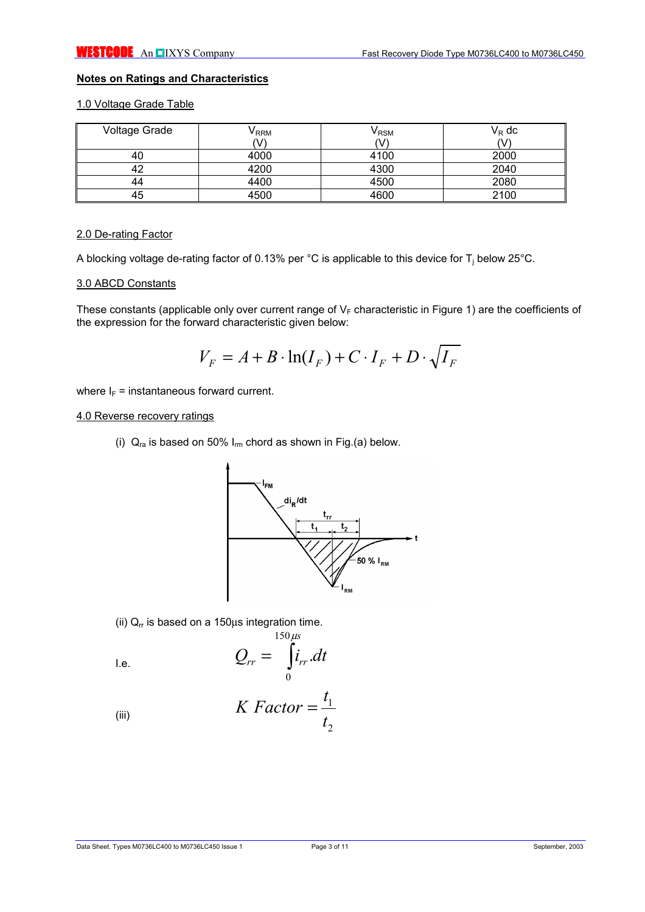# **Notes on Ratings and Characteristics**

# 1.0 Voltage Grade Table

| Voltage Grade | V RRM<br>V | V <sub>RSM</sub><br>ハハ | $V_R$ dc |
|---------------|------------|------------------------|----------|
|               | 4000       | 4100                   | 2000     |
|               | 4200       | 4300                   | 2040     |
|               | 4400       | 4500                   | 2080     |
| 45            | 4500       | 4600                   | 2100     |

#### 2.0 De-rating Factor

A blocking voltage de-rating factor of 0.13% per °C is applicable to this device for  $T_i$  below 25°C.

## 3.0 ABCD Constants

These constants (applicable only over current range of  $V_F$  characteristic in Figure 1) are the coefficients of the expression for the forward characteristic given below:

$$
V_F = A + B \cdot \ln(I_F) + C \cdot I_F + D \cdot \sqrt{I_F}
$$

where  $I_F$  = instantaneous forward current.

#### 4.0 Reverse recovery ratings

(i)  $Q_{ra}$  is based on 50%  $I_{rm}$  chord as shown in Fig.(a) below.



(ii)  $Q<sub>rr</sub>$  is based on a 150 $\mu$ s integration time.

$$
Q_{rr} = \int_{0}^{150\mu s} i_{rr}.dt
$$

(iii) 
$$
K \ Factor = \frac{t_1}{t_2}
$$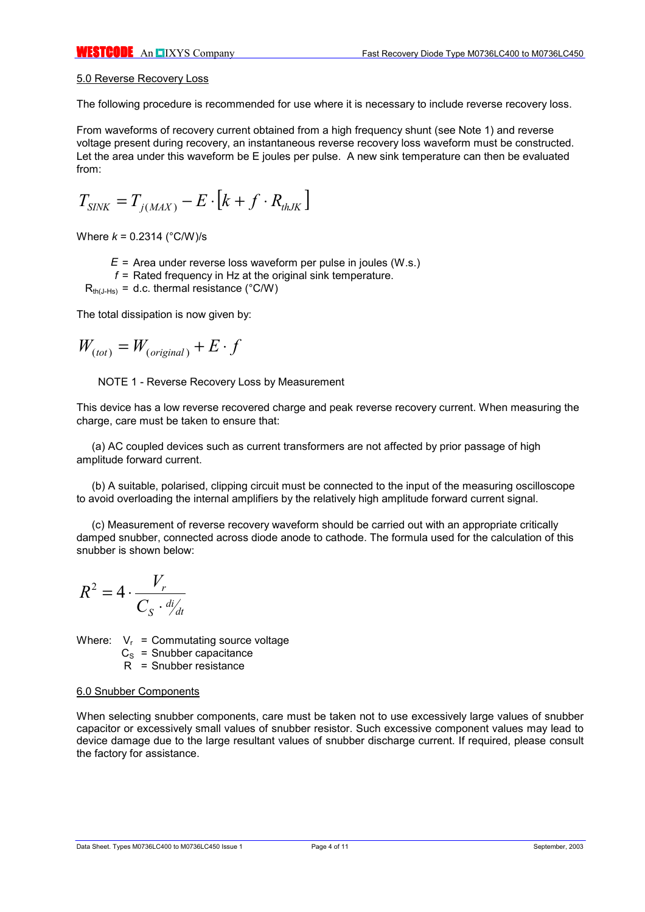#### 5.0 Reverse Recovery Loss

The following procedure is recommended for use where it is necessary to include reverse recovery loss.

From waveforms of recovery current obtained from a high frequency shunt (see Note 1) and reverse voltage present during recovery, an instantaneous reverse recovery loss waveform must be constructed. Let the area under this waveform be E joules per pulse. A new sink temperature can then be evaluated from:

$$
T_{\text{SINK}} = T_{j(\text{MAX})} - E \cdot [k + f \cdot R_{\text{thJK}}]
$$

Where *k* = 0.2314 (°C/W)/s

- *E* = Area under reverse loss waveform per pulse in joules (W.s.)
- *f* = Rated frequency in Hz at the original sink temperature.

 $R_{th(LHS)} = d.c.$  thermal resistance (°C/W)

The total dissipation is now given by:

$$
W_{(tot)} = W_{(original)} + E \cdot f
$$

NOTE 1 - Reverse Recovery Loss by Measurement

This device has a low reverse recovered charge and peak reverse recovery current. When measuring the charge, care must be taken to ensure that:

(a) AC coupled devices such as current transformers are not affected by prior passage of high amplitude forward current.

(b) A suitable, polarised, clipping circuit must be connected to the input of the measuring oscilloscope to avoid overloading the internal amplifiers by the relatively high amplitude forward current signal.

(c) Measurement of reverse recovery waveform should be carried out with an appropriate critically damped snubber, connected across diode anode to cathode. The formula used for the calculation of this snubber is shown below:

$$
R^2 = 4 \cdot \frac{V_r}{C_S \cdot \frac{di}{dt}}
$$

Where:  $V_r$  = Commutating source voltage

 $C<sub>S</sub>$  = Snubber capacitance

R = Snubber resistance

#### 6.0 Snubber Components

When selecting snubber components, care must be taken not to use excessively large values of snubber capacitor or excessively small values of snubber resistor. Such excessive component values may lead to device damage due to the large resultant values of snubber discharge current. If required, please consult the factory for assistance.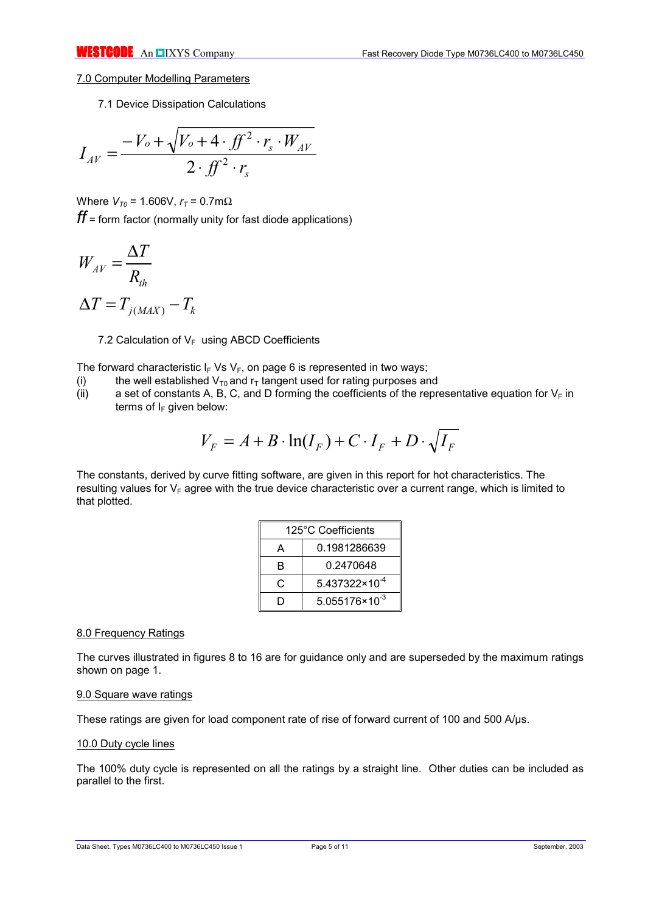## 7.0 Computer Modelling Parameters

7.1 Device Dissipation Calculations

$$
I_{AV} = \frac{-V_o + \sqrt{V_o + 4 \cdot f f^2 \cdot r_s \cdot W_{AV}}}{2 \cdot f f^2 \cdot r_s}
$$

Where  $V_{T0}$  = 1.606V,  $r_T$  = 0.7mΩ *ff* = form factor (normally unity for fast diode applications)

$$
W_{AV} = \frac{\Delta T}{R_{th}}
$$

$$
\Delta T = T_{j(MAX)} - T_k
$$

7.2 Calculation of  $V_F$  using ABCD Coefficients

The forward characteristic  $I_F V_S V_F$ , on page 6 is represented in two ways;

- (i) the well established  $V_{T0}$  and  $r_T$  tangent used for rating purposes and (ii) a set of constants A, B, C, and D forming the coefficients of the repr
- a set of constants A, B, C, and D forming the coefficients of the representative equation for  $V_F$  in terms of  $I_F$  given below:

$$
V_F = A + B \cdot \ln(I_F) + C \cdot I_F + D \cdot \sqrt{I_F}
$$

The constants, derived by curve fitting software, are given in this report for hot characteristics. The resulting values for  $V_F$  agree with the true device characteristic over a current range, which is limited to that plotted.

|   | 125°C Coefficients      |  |  |  |
|---|-------------------------|--|--|--|
| А | 0.1981286639            |  |  |  |
| в | 0.2470648               |  |  |  |
| C | $5.437322\times10^{-4}$ |  |  |  |
|   | $5.055176\times10^{-3}$ |  |  |  |

# 8.0 Frequency Ratings

The curves illustrated in figures 8 to 16 are for guidance only and are superseded by the maximum ratings shown on page 1.

#### 9.0 Square wave ratings

These ratings are given for load component rate of rise of forward current of 100 and 500 A/µs.

## 10.0 Duty cycle lines

The 100% duty cycle is represented on all the ratings by a straight line. Other duties can be included as parallel to the first.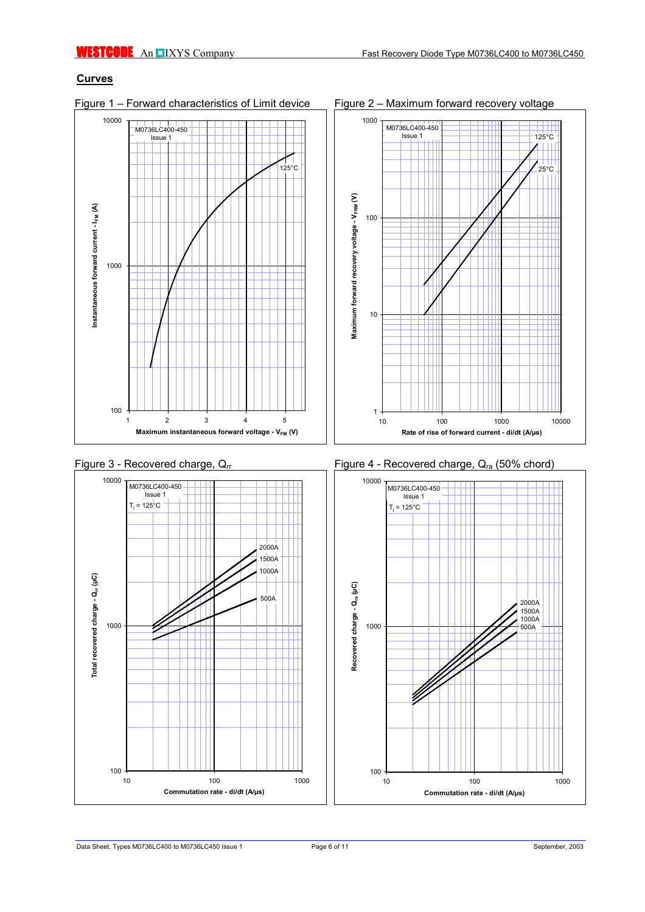# **Curves**

Figure 1 – Forward characteristics of Limit device Figure 2 – Maximum forward recovery voltage











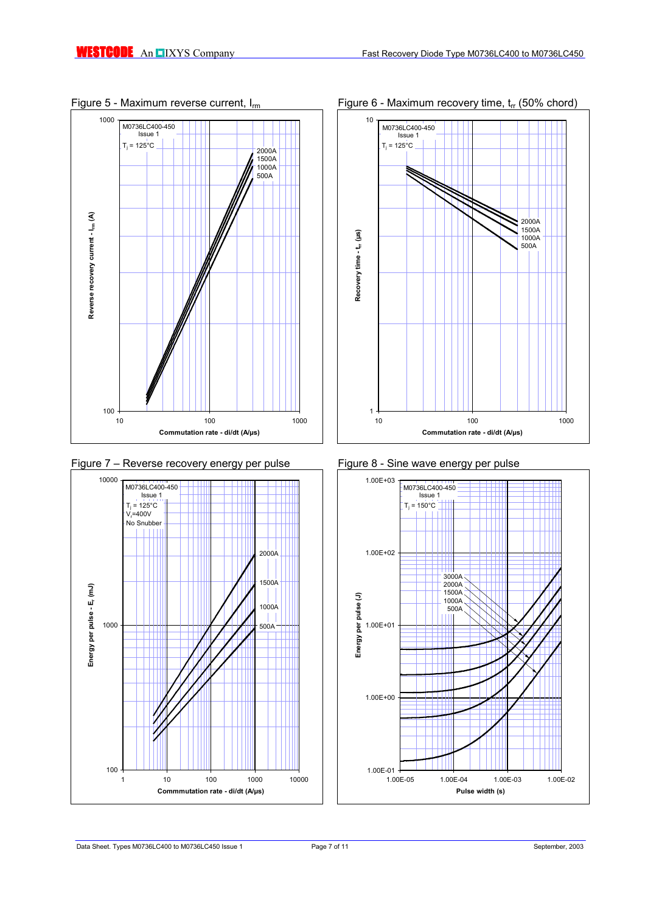









10 100 1000 1000 **Commutation rate - di/dt (A/µs)**

Figure 5 - Maximum reverse current,  $I_{rm}$  Figure 6 - Maximum recovery time,  $t_{rr}$  (50% chord)

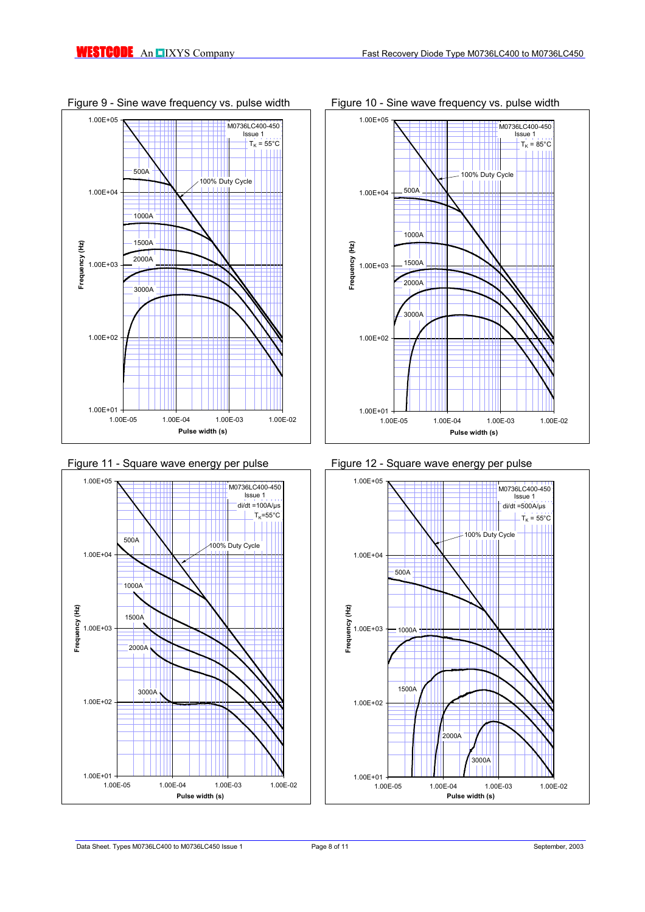







Figure 9 - Sine wave frequency vs. pulse width Figure 10 - Sine wave frequency vs. pulse width

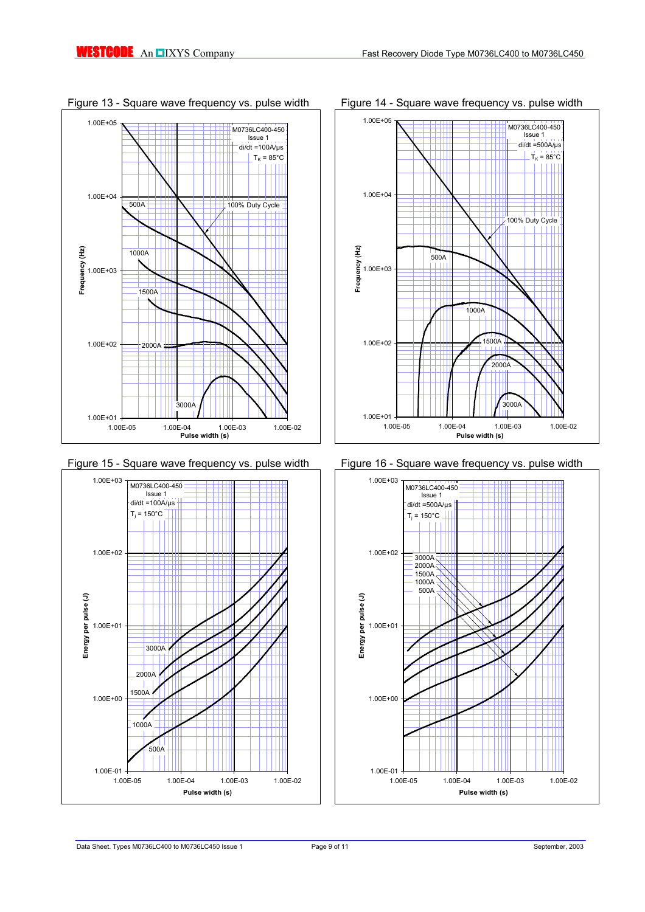











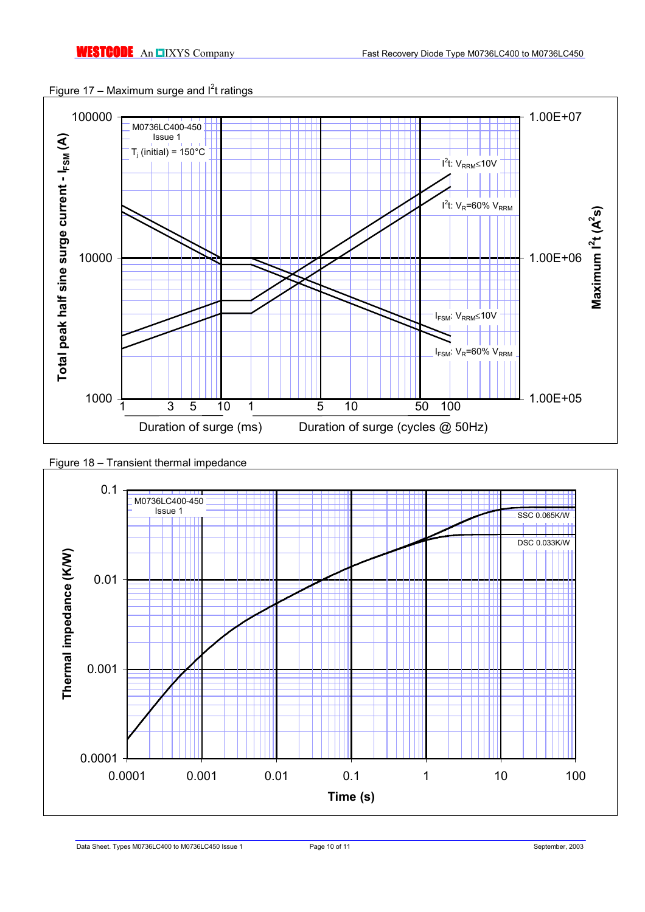



Figure 18 – Transient thermal impedance



Data Sheet. Types M0736LC400 to M0736LC450 Issue 1 Page 10 of 11 Page 10 of 11 September, 2003